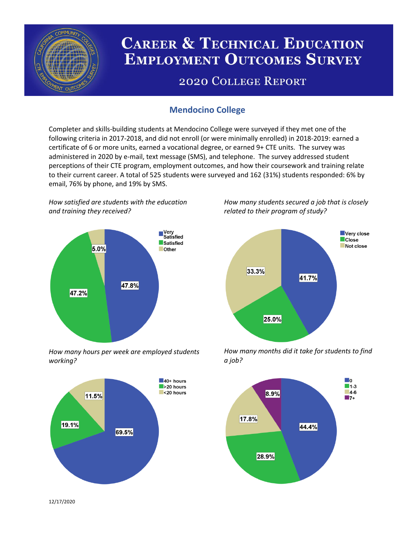

# **CAREER & TECHNICAL EDUCATION EMPLOYMENT OUTCOMES SURVEY**

## **2020 COLLEGE REPORT**

## **Mendocino College**

Completer and skills-building students at Mendocino College were surveyed if they met one of the following criteria in 2017-2018, and did not enroll (or were minimally enrolled) in 2018-2019: earned a certificate of 6 or more units, earned a vocational degree, or earned 9+ CTE units. The survey was administered in 2020 by e-mail, text message (SMS), and telephone. The survey addressed student perceptions of their CTE program, employment outcomes, and how their coursework and training relate to their current career. A total of 525 students were surveyed and 162 (31%) students responded: 6% by email, 76% by phone, and 19% by SMS.

*How satisfied are students with the education and training they received?*



*How many hours per week are employed students working?*



*How many students secured a job that is closely related to their program of study?*



*How many months did it take for students to find a job?*